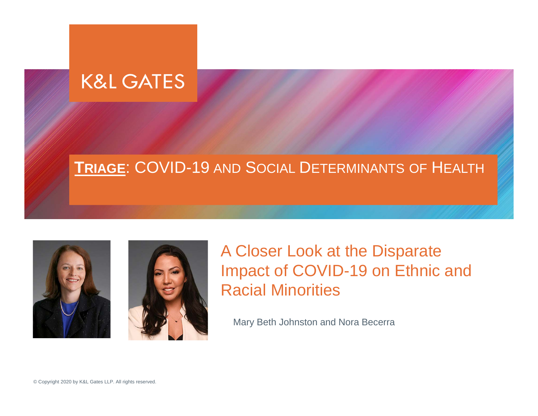#### **K&L GATES**

#### **TRIAGE**: COVID-19 AND SOCIAL DETERMINANTS OF HEALTH





#### A Closer Look at the Disparate Impact of COVID-19 on Ethnic and Racial Minorities

Mary Beth Johnston and Nora Becerra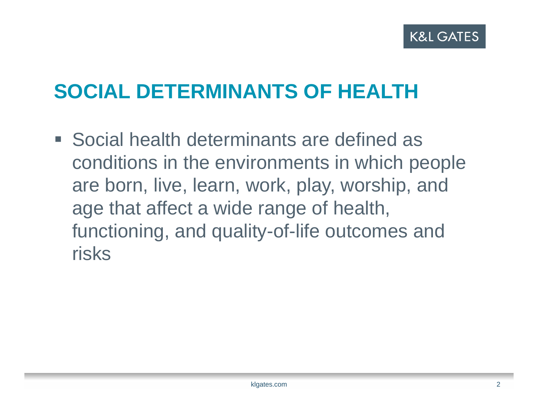## **SOCIAL DETERMINANTS OF HEALTH**

**Social health determinants are defined as** conditions in the environments in which people are born, live, learn, work, play, worship, and age that affect a wide range of health, functioning, and quality-of-life outcomes and risks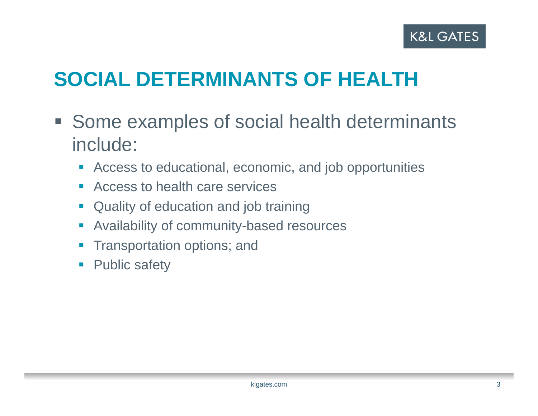## **SOCIAL DETERMINANTS OF HEALTH**

- **Some examples of social health determinants** include:
	- Access to educational, economic, and job opportunities
	- Access to health care services
	- **Quality of education and job training**
	- $\mathcal{L}_{\mathcal{A}}$ Availability of community-based resources
	- $\mathcal{L}_{\mathcal{A}}$ Transportation options; and
	- $\blacksquare$ Public safety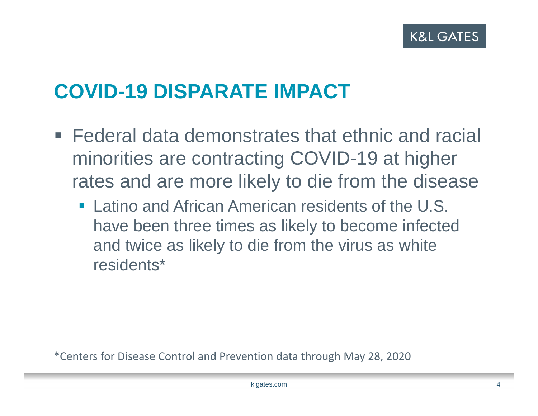#### **COVID-19 DISPARATE IMPACT**

- Federal data demonstrates that ethnic and racial minorities are contracting COVID-19 at higher rates and are more likely to die from the disease
	- **Latino and African American residents of the U.S.** have been three times as likely to become infected and twice as likely to die from the virus as white residents\*

\*Centers for Disease Control and Prevention data through May 28, 2020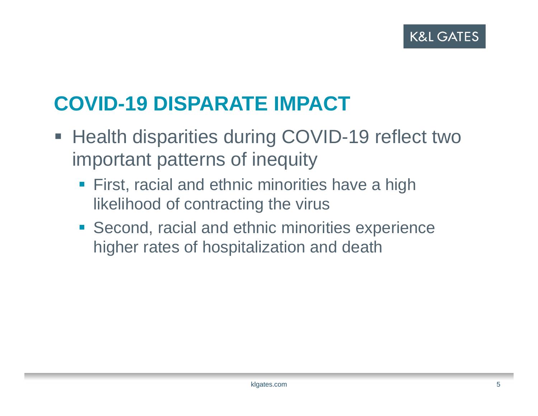## **COVID-19 DISPARATE IMPACT**

- Health disparities during COVID-19 reflect two important patterns of inequity
	- **First, racial and ethnic minorities have a high** likelihood of contracting the virus
	- **Second, racial and ethnic minorities experience** higher rates of hospitalization and death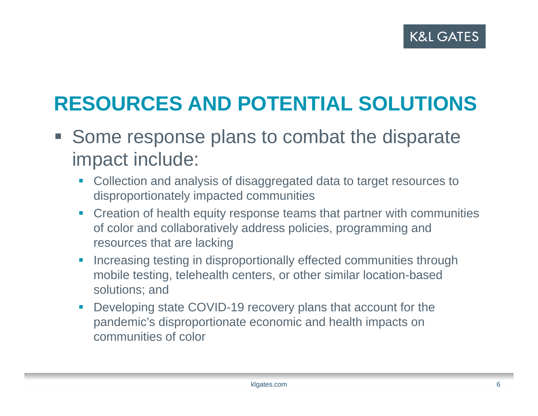## **RESOURCES AND POTENTIAL SOLUTIONS**

- **Some response plans to combat the disparate** impact include:
	- П Collection and analysis of disaggregated data to target resources to disproportionately impacted communities
	- **Creation of health equity response teams that partner with communities** of color and collaboratively address policies, programming and resources that are lacking
	- П Increasing testing in disproportionally effected communities through mobile testing, telehealth centers, or other similar location-based solutions; and
	- $\mathcal{L}_{\mathcal{A}}$  Developing state COVID-19 recovery plans that account for the pandemic's disproportionate economic and health impacts on communities of color